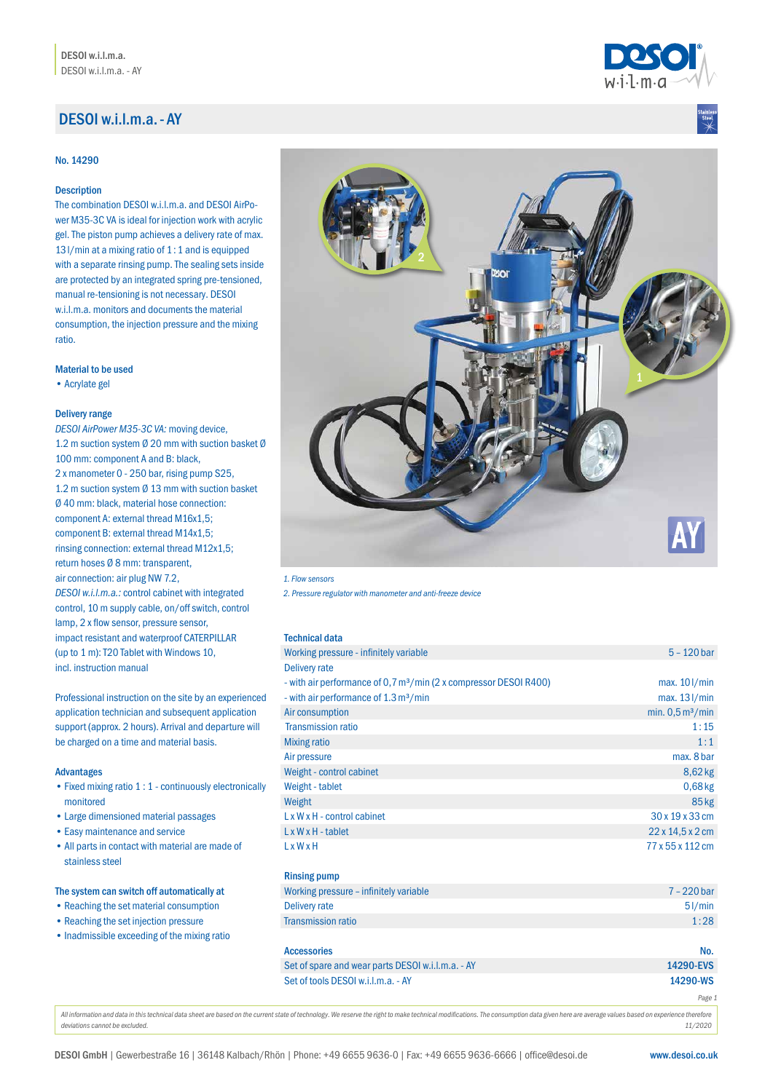# DESOI w.i.l.m.a.- AY

### No. 14290

# Description

The combination DESOI w.i.l.m.a. and DESOI AirPower M35-3C VA is ideal for injection work with acrylic gel. The piston pump achieves a delivery rate of max. 13l/min at a mixing ratio of 1:1 and is equipped with a separate rinsing pump. The sealing sets inside are protected by an integrated spring pre-tensioned, manual re-tensioning is not necessary. DESOI w.i.l.m.a. monitors and documents the material consumption, the injection pressure and the mixing ratio.

# Material to be used

•Acrylate gel

### Delivery range

*DESOI AirPower M35-3C VA:* moving device, 1.2 m suction system Ø 20 mm with suction basket Ø 100 mm: component A and B: black, 2 x manometer 0 - 250 bar, rising pump S25, 1.2 m suction system Ø 13 mm with suction basket Ø 40 mm: black, material hose connection: component A: external thread M16x1,5; component B: external thread M14x1,5; rinsing connection: external thread M12x1,5; return hoses Ø 8 mm: transparent, air connection: air plug NW 7.2, *DESOI w.i.l.m.a.:* control cabinet with integrated control, 10 m supply cable, on/off switch, control lamp, 2 x flow sensor, pressure sensor, impact resistant and waterproof CATERPILLAR (up to 1 m): T20 Tablet with Windows 10, incl. instruction manual

Professional instruction on the site by an experienced application technician and subsequent application support (approx. 2 hours). Arrival and departure will be charged on a time and material basis.

### Advantages

- •Fixed mixing ratio 1 : 1 continuously electronically monitored
- •Large dimensioned material passages
- •Easy maintenance and service
- •All parts in contact with material are made of stainless steel

# The system can switch off automatically at

- •Reaching the set material consumption
- Reaching the set injection pressure
- Inadmissible exceeding of the mixing ratio



### *1. Flow sensors*

*2. Pressure regulator with manometer and anti-freeze device*

| <b>Technical data</b>                                                         |                                        |
|-------------------------------------------------------------------------------|----------------------------------------|
| Working pressure - infinitely variable                                        | $5 - 120$ bar                          |
| Delivery rate                                                                 |                                        |
| - with air performance of 0,7 m <sup>3</sup> /min (2 x compressor DESOI R400) | $max. 10$ $l/min$                      |
| - with air performance of 1.3 m <sup>3</sup> /min                             | max. 13 l/min                          |
| Air consumption                                                               | min. $0,5 \,\mathrm{m}^3/\mathrm{min}$ |
| <b>Transmission ratio</b>                                                     | 1:15                                   |
| <b>Mixing ratio</b>                                                           | 1:1                                    |
| Air pressure                                                                  | max, 8 bar                             |
| Weight - control cabinet                                                      | 8,62 kg                                |
| Weight - tablet                                                               | $0,68$ kg                              |
| Weight                                                                        | 85 kg                                  |
| $L \times W \times H$ - control cabinet                                       | 30 x 19 x 33 cm                        |
| $L \times W \times H$ - tablet                                                | $22 \times 14.5 \times 2$ cm           |
| <b>LxWxH</b>                                                                  | 77 x 55 x 112 cm                       |
| <b>Rinsing pump</b>                                                           |                                        |
| Working pressure - infinitely variable                                        | $7 - 220$ bar                          |
| <b>Delivery rate</b>                                                          | 51/min                                 |
| <b>Transmission ratio</b>                                                     | 1:28                                   |
| <b>Accessories</b>                                                            | No.                                    |
| Set of spare and wear parts DESOI w.i.l.m.a. - AY                             | 14290-EVS                              |
| Set of tools DESOI w.i.l.m.a. - AY                                            | 14290-WS                               |
|                                                                               | Page 1                                 |

All information and data in this technical data sheet are based on the current state of technology. We reserve the right to make technical modifications. The consumption data given here are average values based on experien *deviations cannot be excluded. 11/2020*